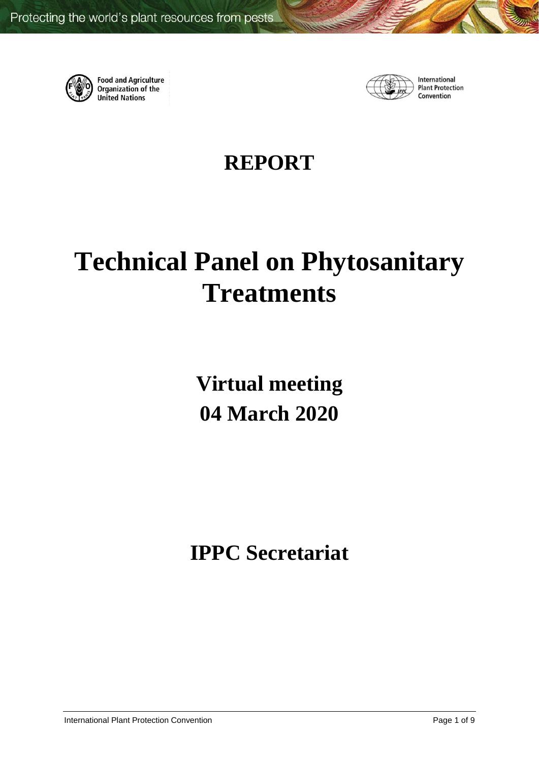

**Food and Agriculture**<br>Organization of the **United Nations** 



International **Plant Protection** Convention

# **REPORT**

# **Technical Panel on Phytosanitary Treatments**

**Virtual meeting 04 March 2020**

**IPPC Secretariat**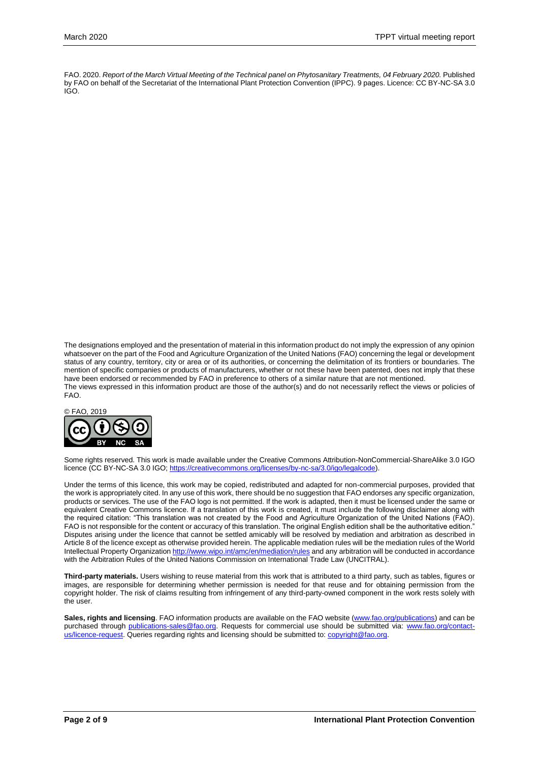FAO. 2020. *Report of the March Virtual Meeting of the Technical panel on Phytosanitary Treatments, 04 February 2020.* Published by FAO on behalf of the Secretariat of the International Plant Protection Convention (IPPC). 9 pages. Licence: CC BY-NC-SA 3.0 IGO.

The designations employed and the presentation of material in this information product do not imply the expression of any opinion whatsoever on the part of the Food and Agriculture Organization of the United Nations (FAO) concerning the legal or development status of any country, territory, city or area or of its authorities, or concerning the delimitation of its frontiers or boundaries. The mention of specific companies or products of manufacturers, whether or not these have been patented, does not imply that these have been endorsed or recommended by FAO in preference to others of a similar nature that are not mentioned. The views expressed in this information product are those of the author(s) and do not necessarily reflect the views or policies of FAO.



Some rights reserved. This work is made available under the Creative Commons Attribution-NonCommercial-ShareAlike 3.0 IGO licence (CC BY-NC-SA 3.0 IGO[; https://creativecommons.org/licenses/by-nc-sa/3.0/igo/legalcode\)](https://creativecommons.org/licenses/by-nc-sa/3.0/igo/legalcode).

Under the terms of this licence, this work may be copied, redistributed and adapted for non-commercial purposes, provided that the work is appropriately cited. In any use of this work, there should be no suggestion that FAO endorses any specific organization, products or services. The use of the FAO logo is not permitted. If the work is adapted, then it must be licensed under the same or equivalent Creative Commons licence. If a translation of this work is created, it must include the following disclaimer along with the required citation: "This translation was not created by the Food and Agriculture Organization of the United Nations (FAO). FAO is not responsible for the content or accuracy of this translation. The original English edition shall be the authoritative edition." Disputes arising under the licence that cannot be settled amicably will be resolved by mediation and arbitration as described in Article 8 of the licence except as otherwise provided herein. The applicable mediation rules will be the mediation rules of the World Intellectual Property Organizatio[n http://www.wipo.int/amc/en/mediation/rules](http://www.wipo.int/amc/en/mediation/rules) and any arbitration will be conducted in accordance with the Arbitration Rules of the United Nations Commission on International Trade Law (UNCITRAL).

**Third-party materials.** Users wishing to reuse material from this work that is attributed to a third party, such as tables, figures or images, are responsible for determining whether permission is needed for that reuse and for obtaining permission from the copyright holder. The risk of claims resulting from infringement of any third-party-owned component in the work rests solely with the user.

**Sales, rights and licensing**. FAO information products are available on the FAO website [\(www.fao.org/publications\)](http://www.fao.org/publications) and can be purchased through [publications-sales@fao.org.](mailto:publications-sales@fao.org) Requests for commercial use should be submitted via: [www.fao.org/contact](http://www.fao.org/contact-us/licence-request)[us/licence-request.](http://www.fao.org/contact-us/licence-request) Queries regarding rights and licensing should be submitted to: [copyright@fao.org.](mailto:copyright@fao.org)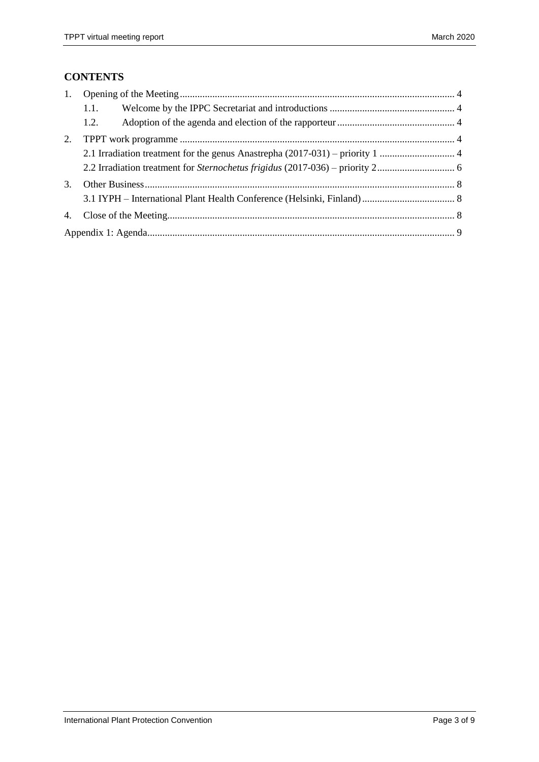## **CONTENTS**

|    | 1.1. |  |  |  |  |  |
|----|------|--|--|--|--|--|
|    | 1.2. |  |  |  |  |  |
| 2. |      |  |  |  |  |  |
|    |      |  |  |  |  |  |
|    |      |  |  |  |  |  |
| 3. |      |  |  |  |  |  |
|    |      |  |  |  |  |  |
| 4. |      |  |  |  |  |  |
|    |      |  |  |  |  |  |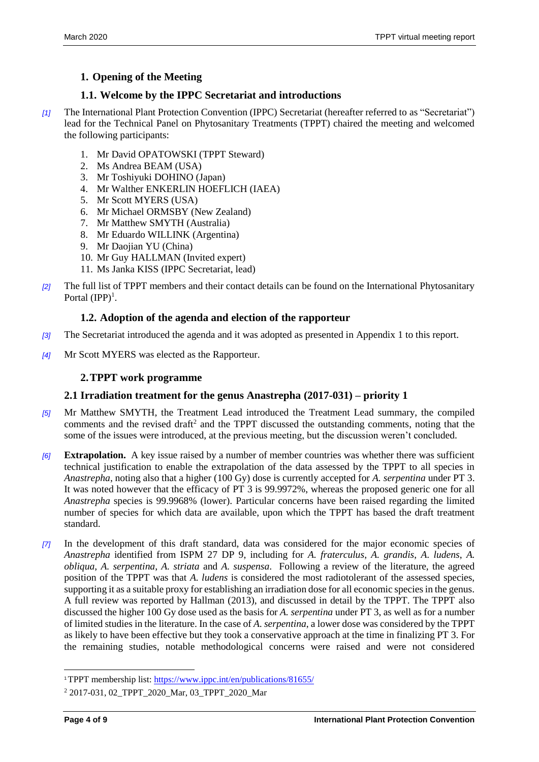#### <span id="page-3-0"></span>**1. Opening of the Meeting**

#### <span id="page-3-1"></span>**1.1. Welcome by the IPPC Secretariat and introductions**

- *[1]* The International Plant Protection Convention (IPPC) Secretariat (hereafter referred to as "Secretariat") lead for the Technical Panel on Phytosanitary Treatments (TPPT) chaired the meeting and welcomed the following participants:
	- 1. Mr David OPATOWSKI (TPPT Steward)
	- 2. Ms Andrea BEAM (USA)
	- 3. Mr Toshiyuki DOHINO (Japan)
	- 4. Mr Walther ENKERLIN HOEFLICH (IAEA)
	- 5. Mr Scott MYERS (USA)
	- 6. Mr Michael ORMSBY (New Zealand)
	- 7. Mr Matthew SMYTH (Australia)
	- 8. Mr Eduardo WILLINK (Argentina)
	- 9. Mr Daojian YU (China)
	- 10. Mr Guy HALLMAN (Invited expert)
	- 11. Ms Janka KISS (IPPC Secretariat, lead)
- *[2]* The full list of TPPT members and their contact details can be found on the International Phytosanitary Portal  $(IPP)^1$ .

#### <span id="page-3-2"></span>**1.2. Adoption of the agenda and election of the rapporteur**

- *[3]* The Secretariat introduced the agenda and it was adopted as presented in Appendix 1 to this report.
- *[4]* Mr Scott MYERS was elected as the Rapporteur.

#### <span id="page-3-3"></span>**2.TPPT work programme**

#### <span id="page-3-4"></span>**2.1 Irradiation treatment for the genus Anastrepha (2017-031) – priority 1**

- *[5]* Mr Matthew SMYTH, the Treatment Lead introduced the Treatment Lead summary, the compiled comments and the revised draft<sup>2</sup> and the TPPT discussed the outstanding comments, noting that the some of the issues were introduced, at the previous meeting, but the discussion weren't concluded.
- *[6]* **Extrapolation.** A key issue raised by a number of member countries was whether there was sufficient technical justification to enable the extrapolation of the data assessed by the TPPT to all species in *Anastrepha*, noting also that a higher (100 Gy) dose is currently accepted for *A. serpentina* under PT 3. It was noted however that the efficacy of PT 3 is 99.9972%, whereas the proposed generic one for all *Anastrepha* species is 99.9968% (lower). Particular concerns have been raised regarding the limited number of species for which data are available, upon which the TPPT has based the draft treatment standard.
- *[7]* In the development of this draft standard, data was considered for the major economic species of *Anastrepha* identified from ISPM 27 DP 9, including for *A. fraterculus*, *A. grandis*, *A. ludens*, *A. obliqua*, *A. serpentina*, *A. striata* and *A. suspensa*. Following a review of the literature, the agreed position of the TPPT was that *A. ludens* is considered the most radiotolerant of the assessed species, supporting it as a suitable proxy for establishing an irradiation dose for all economic species in the genus. A full review was reported by Hallman (2013), and discussed in detail by the TPPT. The TPPT also discussed the higher 100 Gy dose used as the basis for *A. serpentina* under PT 3, as well as for a number of limited studies in the literature. In the case of *A. serpentina*, a lower dose was considered by the TPPT as likely to have been effective but they took a conservative approach at the time in finalizing PT 3. For the remaining studies, notable methodological concerns were raised and were not considered

l

<sup>1</sup>TPPT membership list:<https://www.ippc.int/en/publications/81655/>

<sup>&</sup>lt;sup>2</sup> 2017-031, 02\_TPPT\_2020\_Mar, 03\_TPPT\_2020\_Mar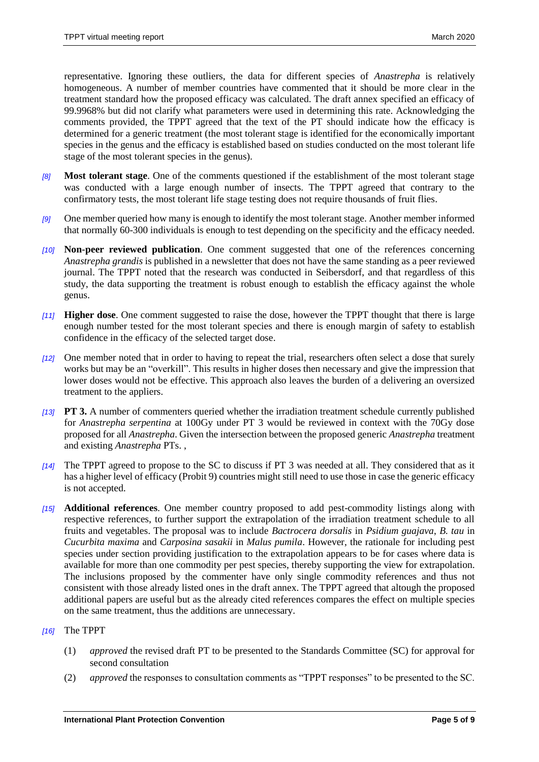representative. Ignoring these outliers, the data for different species of *Anastrepha* is relatively homogeneous. A number of member countries have commented that it should be more clear in the treatment standard how the proposed efficacy was calculated. The draft annex specified an efficacy of 99.9968% but did not clarify what parameters were used in determining this rate. Acknowledging the comments provided, the TPPT agreed that the text of the PT should indicate how the efficacy is determined for a generic treatment (the most tolerant stage is identified for the economically important species in the genus and the efficacy is established based on studies conducted on the most tolerant life stage of the most tolerant species in the genus).

- *[8]* **Most tolerant stage**. One of the comments questioned if the establishment of the most tolerant stage was conducted with a large enough number of insects. The TPPT agreed that contrary to the confirmatory tests, the most tolerant life stage testing does not require thousands of fruit flies.
- *[9]* One member queried how many is enough to identify the most tolerant stage. Another member informed that normally 60-300 individuals is enough to test depending on the specificity and the efficacy needed.
- *[10]* **Non-peer reviewed publication**. One comment suggested that one of the references concerning *Anastrepha grandis* is published in a newsletter that does not have the same standing as a peer reviewed journal. The TPPT noted that the research was conducted in Seibersdorf, and that regardless of this study, the data supporting the treatment is robust enough to establish the efficacy against the whole genus.
- *[11]* **Higher dose**. One comment suggested to raise the dose, however the TPPT thought that there is large enough number tested for the most tolerant species and there is enough margin of safety to establish confidence in the efficacy of the selected target dose.
- *[12]* One member noted that in order to having to repeat the trial, researchers often select a dose that surely works but may be an "overkill". This results in higher doses then necessary and give the impression that lower doses would not be effective. This approach also leaves the burden of a delivering an oversized treatment to the appliers.
- *[13]* **PT 3.** A number of commenters queried whether the irradiation treatment schedule currently published for *Anastrepha serpentina* at 100Gy under PT 3 would be reviewed in context with the 70Gy dose proposed for all *Anastrepha*. Given the intersection between the proposed generic *Anastrepha* treatment and existing *Anastrepha* PTs. ,
- *[14]* The TPPT agreed to propose to the SC to discuss if PT 3 was needed at all. They considered that as it has a higher level of efficacy (Probit 9) countries might still need to use those in case the generic efficacy is not accepted.
- *[15]* **Additional references**. One member country proposed to add pest-commodity listings along with respective references, to further support the extrapolation of the irradiation treatment schedule to all fruits and vegetables. The proposal was to include *Bactrocera dorsalis* in *Psidium guajava*, *B. tau* in *Cucurbita maxima* and *Carposina sasakii* in *Malus pumila*. However, the rationale for including pest species under section providing justification to the extrapolation appears to be for cases where data is available for more than one commodity per pest species, thereby supporting the view for extrapolation. The inclusions proposed by the commenter have only single commodity references and thus not consistent with those already listed ones in the draft annex. The TPPT agreed that altough the proposed additional papers are useful but as the already cited references compares the effect on multiple species on the same treatment, thus the additions are unnecessary.

#### *[16]* The TPPT

- (1) *approved* the revised draft PT to be presented to the Standards Committee (SC) for approval for second consultation
- (2) *approved* the responses to consultation comments as "TPPT responses" to be presented to the SC.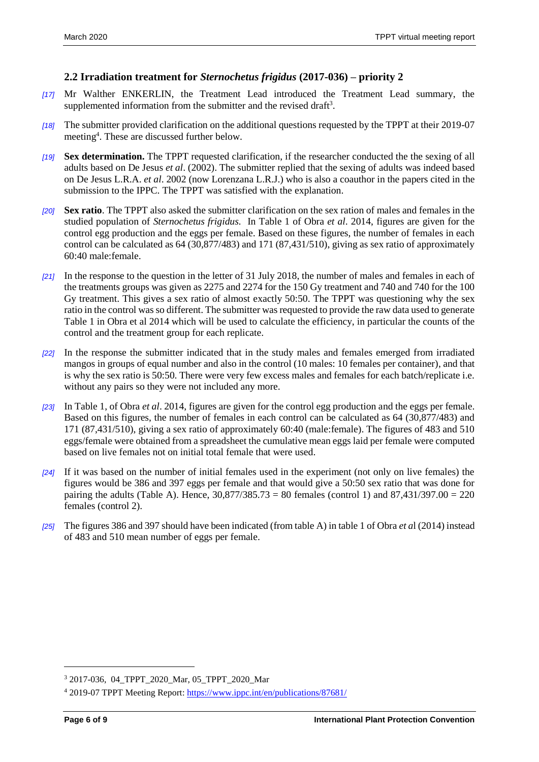#### <span id="page-5-0"></span>**2.2 Irradiation treatment for** *Sternochetus frigidus* **(2017-036) – priority 2**

- *[17]* Mr Walther ENKERLIN, the Treatment Lead introduced the Treatment Lead summary, the supplemented information from the submitter and the revised draft<sup>3</sup>.
- *[18]* The submitter provided clarification on the additional questions requested by the TPPT at their 2019-07 meeting<sup>4</sup>. These are discussed further below.
- *[19]* **Sex determination.** The TPPT requested clarification, if the researcher conducted the the sexing of all adults based on De Jesus *et al*. (2002). The submitter replied that the sexing of adults was indeed based on De Jesus L.R.A. *et al*. 2002 (now Lorenzana L.R.J.) who is also a coauthor in the papers cited in the submission to the IPPC. The TPPT was satisfied with the explanation.
- *[20]* **Sex ratio**. The TPPT also asked the submitter clarification on the sex ration of males and females in the studied population of *Sternochetus frigidus.* In Table 1 of Obra *et al*. 2014, figures are given for the control egg production and the eggs per female. Based on these figures, the number of females in each control can be calculated as 64 (30,877/483) and 171 (87,431/510), giving as sex ratio of approximately 60:40 male:female.
- *[21]* In the response to the question in the letter of 31 July 2018, the number of males and females in each of the treatments groups was given as 2275 and 2274 for the 150 Gy treatment and 740 and 740 for the 100 Gy treatment. This gives a sex ratio of almost exactly 50:50. The TPPT was questioning why the sex ratio in the control was so different. The submitter was requested to provide the raw data used to generate Table 1 in Obra et al 2014 which will be used to calculate the efficiency, in particular the counts of the control and the treatment group for each replicate.
- *[22]* In the response the submitter indicated that in the study males and females emerged from irradiated mangos in groups of equal number and also in the control (10 males: 10 females per container), and that is why the sex ratio is 50:50. There were very few excess males and females for each batch/replicate i.e. without any pairs so they were not included any more.
- *[23]* In Table 1, of Obra *et al*. 2014, figures are given for the control egg production and the eggs per female. Based on this figures, the number of females in each control can be calculated as 64 (30,877/483) and 171 (87,431/510), giving a sex ratio of approximately 60:40 (male:female). The figures of 483 and 510 eggs/female were obtained from a spreadsheet the cumulative mean eggs laid per female were computed based on live females not on initial total female that were used.
- *[24]* If it was based on the number of initial females used in the experiment (not only on live females) the figures would be 386 and 397 eggs per female and that would give a 50:50 sex ratio that was done for pairing the adults (Table A). Hence,  $30,877/385.73 = 80$  females (control 1) and  $87,431/397.00 = 220$ females (control 2).
- *[25]* The figures 386 and 397 should have been indicated (from table A) in table 1 of Obra *et a*l (2014) instead of 483 and 510 mean number of eggs per female.

l

<sup>3</sup> 2017-036, 04\_TPPT\_2020\_Mar, 05\_TPPT\_2020\_Mar

<sup>4</sup> 2019-07 TPPT Meeting Report[: https://www.ippc.int/en/publications/87681/](https://www.ippc.int/en/publications/87681/)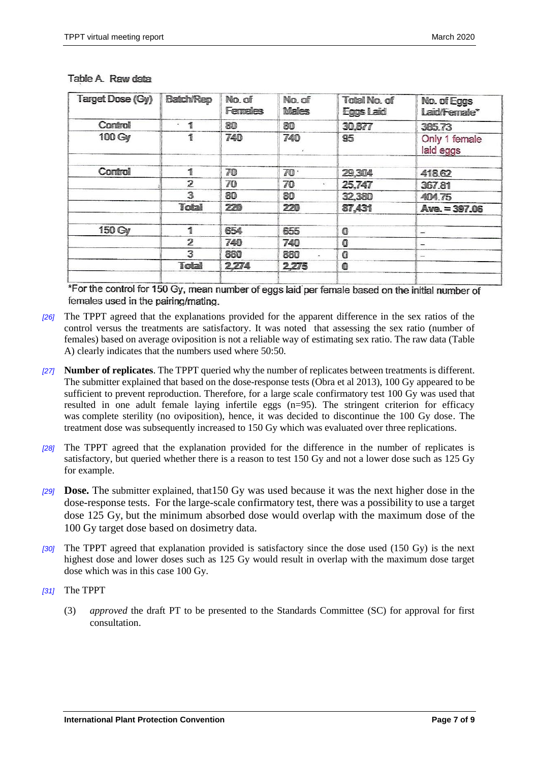| Target Dose (Gy) | <b>Batch/Rep</b>    | No. of<br><b>Females</b> | No. of<br><b>Males</b> | Total No. of<br>Eggs Laid | No. of Eggs<br>Laid/Fernale* |
|------------------|---------------------|--------------------------|------------------------|---------------------------|------------------------------|
| Control          | 쎌<br>$\blacksquare$ | 80                       | 80                     | 30,877                    | 385.73                       |
| 100 Gy           | 1                   | 740                      | 740                    | 95                        | Only 1 female<br>laid eggs   |
| Control          | 1                   | 70                       | 70                     | 29,304                    | 418.62                       |
|                  | $\overline{2}$      | 70                       | 70<br>$\mathbf{a}$ .   | 25,747                    | 367.81                       |
|                  | 3                   | 80                       | 80                     | 32,380                    | 404.75                       |
|                  | Total               | 220                      | 220                    | 87.431                    | Ave. = 397.06                |
| 150 Gy           | 1                   | 654                      | 655                    | $\bf{O}$                  | $\overline{\phantom{a}}$     |
|                  | $\overline{2}$      | 740                      | 740                    | $\bf{0}$                  | $\qquad \qquad \blacksquare$ |
|                  | 3                   | 880                      | 880                    | 0                         | $\overline{\phantom{m}}$     |
|                  | Total               | 2.274                    | 2.275                  | 0                         |                              |
|                  |                     |                          |                        |                           |                              |

#### Table A. Raw data

\*For the control for 150 Gy, mean number of eggs laid per female based on the initial number of females used in the pairing/mating.

- *[26]* The TPPT agreed that the explanations provided for the apparent difference in the sex ratios of the control versus the treatments are satisfactory. It was noted that assessing the sex ratio (number of females) based on average oviposition is not a reliable way of estimating sex ratio. The raw data (Table A) clearly indicates that the numbers used where 50:50.
- *[27]* **Number of replicates**. The TPPT queried why the number of replicates between treatments is different. The submitter explained that based on the dose-response tests (Obra et al 2013), 100 Gy appeared to be sufficient to prevent reproduction. Therefore, for a large scale confirmatory test 100 Gy was used that resulted in one adult female laying infertile eggs (n=95). The stringent criterion for efficacy was complete sterility (no oviposition), hence, it was decided to discontinue the 100 Gy dose. The treatment dose was subsequently increased to 150 Gy which was evaluated over three replications.
- *[28]* The TPPT agreed that the explanation provided for the difference in the number of replicates is satisfactory, but queried whether there is a reason to test 150 Gy and not a lower dose such as 125 Gy for example.
- *[29]* **Dose.** The submitter explained, that150 Gy was used because it was the next higher dose in the dose-response tests. For the large-scale confirmatory test, there was a possibility to use a target dose 125 Gy, but the minimum absorbed dose would overlap with the maximum dose of the 100 Gy target dose based on dosimetry data.
- *[30]* The TPPT agreed that explanation provided is satisfactory since the dose used (150 Gy) is the next highest dose and lower doses such as 125 Gy would result in overlap with the maximum dose target dose which was in this case 100 Gy.
- *[31]* The TPPT
	- (3) *approved* the draft PT to be presented to the Standards Committee (SC) for approval for first consultation.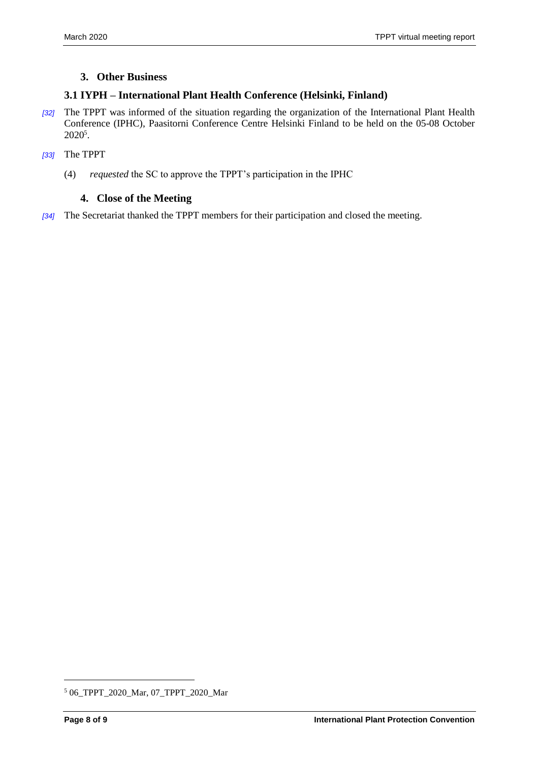#### <span id="page-7-0"></span>**3. Other Business**

#### <span id="page-7-1"></span>**3.1 IYPH – International Plant Health Conference (Helsinki, Finland)**

- *[32]* The TPPT was informed of the situation regarding the organization of the International Plant Health Conference (IPHC), Paasitorni Conference Centre Helsinki Finland to be held on the 05-08 October  $2020^5$ .
- *[33]* The TPPT
	- (4) *requested* the SC to approve the TPPT's participation in the IPHC

#### <span id="page-7-2"></span>**4. Close of the Meeting**

*[34]* The Secretariat thanked the TPPT members for their participation and closed the meeting.

 $\overline{a}$ 

<sup>5</sup> 06\_TPPT\_2020\_Mar, 07\_TPPT\_2020\_Mar